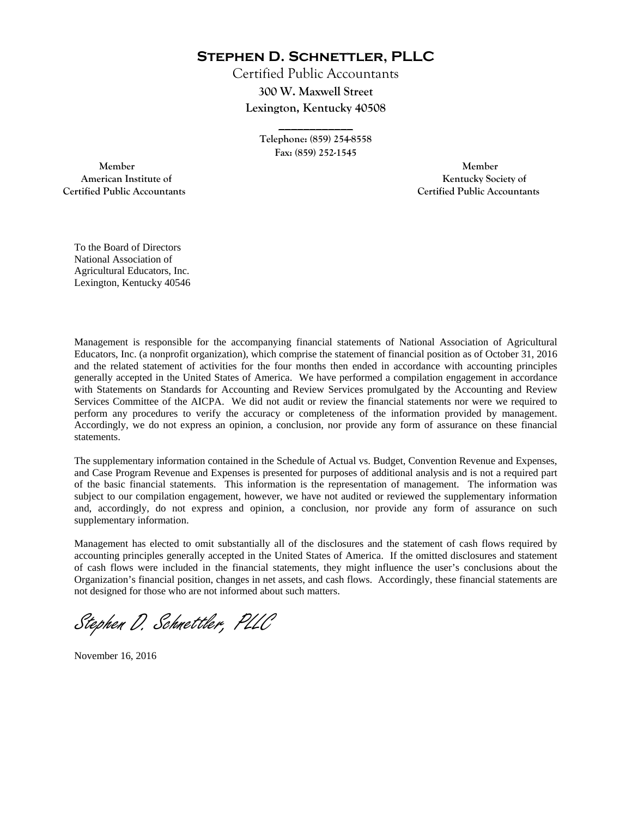**Stephen D. Schnettler, PLLC**

Certified Public Accountants **300 W. Maxwell Street Lexington, Kentucky 40508** 

> **Telephone: (859) 254-8558 Fax: (859) 252-1545**

**\_\_\_\_\_\_\_\_\_\_\_\_** 

 **Member Member Certified Public Accountants Certified Public Accountants** 

American Institute of **Kentucky Society of American Institute of** 

To the Board of Directors National Association of Agricultural Educators, Inc. Lexington, Kentucky 40546

Management is responsible for the accompanying financial statements of National Association of Agricultural Educators, Inc. (a nonprofit organization), which comprise the statement of financial position as of October 31, 2016 and the related statement of activities for the four months then ended in accordance with accounting principles generally accepted in the United States of America. We have performed a compilation engagement in accordance with Statements on Standards for Accounting and Review Services promulgated by the Accounting and Review Services Committee of the AICPA. We did not audit or review the financial statements nor were we required to perform any procedures to verify the accuracy or completeness of the information provided by management. Accordingly, we do not express an opinion, a conclusion, nor provide any form of assurance on these financial statements.

The supplementary information contained in the Schedule of Actual vs. Budget, Convention Revenue and Expenses, and Case Program Revenue and Expenses is presented for purposes of additional analysis and is not a required part of the basic financial statements. This information is the representation of management. The information was subject to our compilation engagement, however, we have not audited or reviewed the supplementary information and, accordingly, do not express and opinion, a conclusion, nor provide any form of assurance on such supplementary information.

Management has elected to omit substantially all of the disclosures and the statement of cash flows required by accounting principles generally accepted in the United States of America. If the omitted disclosures and statement of cash flows were included in the financial statements, they might influence the user's conclusions about the Organization's financial position, changes in net assets, and cash flows. Accordingly, these financial statements are not designed for those who are not informed about such matters.

Stephen D. Schnettler, PLLC

November 16, 2016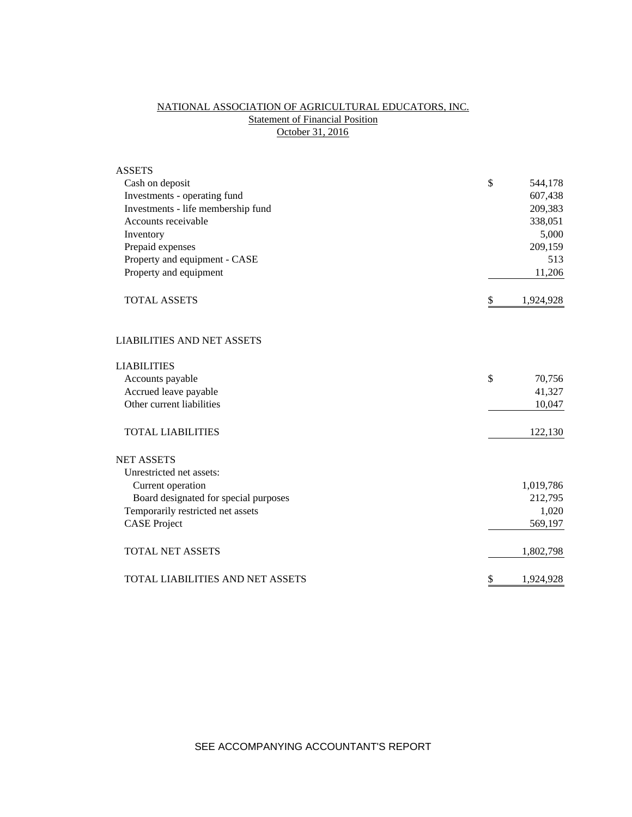# NATIONAL ASSOCIATION OF AGRICULTURAL EDUCATORS, INC. **Statement of Financial Position** October 31, 2016

| <b>ASSETS</b>                         |                 |
|---------------------------------------|-----------------|
| Cash on deposit                       | \$<br>544,178   |
| Investments - operating fund          | 607,438         |
| Investments - life membership fund    | 209,383         |
| Accounts receivable                   | 338,051         |
| Inventory                             | 5,000           |
| Prepaid expenses                      | 209,159         |
| Property and equipment - CASE         | 513             |
| Property and equipment                | 11,206          |
| <b>TOTAL ASSETS</b>                   | \$<br>1,924,928 |
| <b>LIABILITIES AND NET ASSETS</b>     |                 |
| <b>LIABILITIES</b>                    |                 |
| Accounts payable                      | \$<br>70,756    |
| Accrued leave payable                 | 41,327          |
| Other current liabilities             | 10,047          |
| <b>TOTAL LIABILITIES</b>              | 122,130         |
| <b>NET ASSETS</b>                     |                 |
| Unrestricted net assets:              |                 |
| Current operation                     | 1,019,786       |
| Board designated for special purposes | 212,795         |
| Temporarily restricted net assets     | 1,020           |
| <b>CASE Project</b>                   | 569,197         |
| <b>TOTAL NET ASSETS</b>               | 1,802,798       |
| TOTAL LIABILITIES AND NET ASSETS      | \$<br>1,924,928 |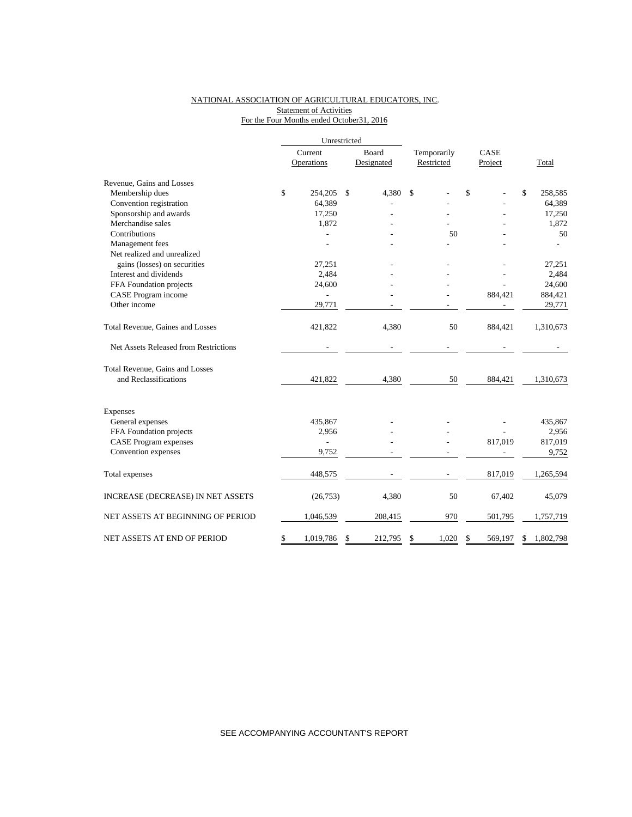### NATIONAL ASSOCIATION OF AGRICULTURAL EDUCATORS, INC. **Statement of Activities** For the Four Months ended October31, 2016

|                                       | Unrestricted             |               |             |               |                 |
|---------------------------------------|--------------------------|---------------|-------------|---------------|-----------------|
|                                       | Current                  | Board         | Temporarily | CASE          |                 |
|                                       | Operations               | Designated    | Restricted  | Project       | Total           |
| Revenue, Gains and Losses             |                          |               |             |               |                 |
| Membership dues                       | \$<br>254,205            | \$<br>4,380   | \$          | \$            | \$<br>258,585   |
| Convention registration               | 64,389                   |               |             |               | 64,389          |
| Sponsorship and awards                | 17,250                   |               |             |               | 17,250          |
| Merchandise sales                     | 1,872                    |               |             |               | 1,872           |
| Contributions                         |                          |               | 50          |               | 50              |
| Management fees                       |                          |               |             |               |                 |
| Net realized and unrealized           |                          |               |             |               |                 |
| gains (losses) on securities          | 27,251                   |               |             |               | 27,251          |
| Interest and dividends                | 2,484                    |               |             |               | 2,484           |
| FFA Foundation projects               | 24,600                   |               |             |               | 24,600          |
| CASE Program income                   |                          |               |             | 884,421       | 884,421         |
| Other income                          | 29,771                   |               |             |               | 29,771          |
| Total Revenue, Gaines and Losses      | 421,822                  | 4,380         | 50          | 884,421       | 1,310,673       |
| Net Assets Released from Restrictions |                          |               |             |               |                 |
| Total Revenue, Gains and Losses       |                          |               |             |               |                 |
| and Reclassifications                 | 421,822                  | 4,380         | 50          | 884,421       | 1,310,673       |
| Expenses                              |                          |               |             |               |                 |
| General expenses                      | 435,867                  |               |             |               | 435,867         |
| FFA Foundation projects               | 2,956                    |               |             |               | 2,956           |
| <b>CASE Program expenses</b>          | $\overline{\phantom{0}}$ |               |             | 817,019       | 817,019         |
| Convention expenses                   | 9,752                    |               |             |               | 9,752           |
| Total expenses                        | 448,575                  |               |             | 817,019       | 1,265,594       |
| INCREASE (DECREASE) IN NET ASSETS     | (26,753)                 | 4,380         | 50          | 67,402        | 45,079          |
| NET ASSETS AT BEGINNING OF PERIOD     | 1,046,539                | 208,415       | 970         | 501,795       | 1,757,719       |
| NET ASSETS AT END OF PERIOD           | \$<br>1,019,786          | \$<br>212,795 | \$<br>1,020 | \$<br>569,197 | \$<br>1,802,798 |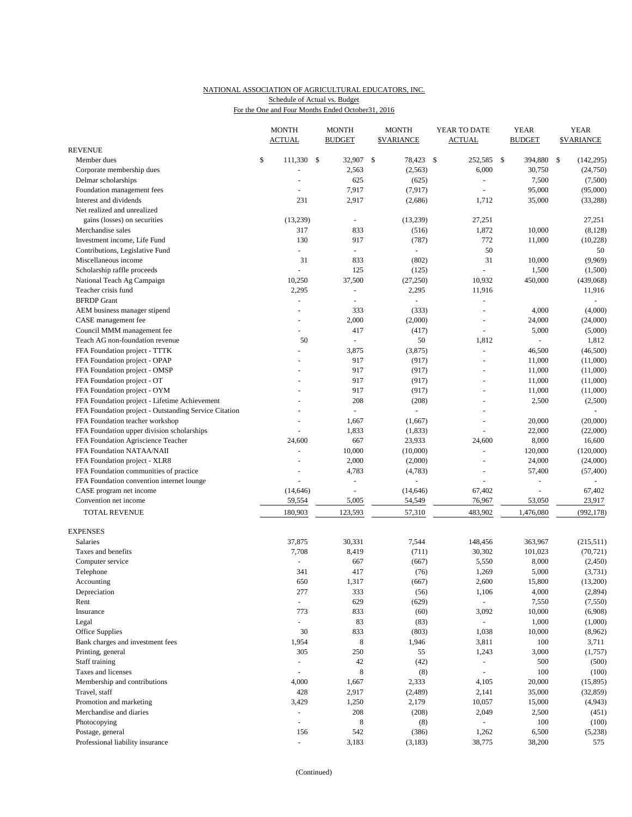## NATIONAL ASSOCIATION OF AGRICULTURAL EDUCATORS, INC. Schedule of Actual vs. Budget

| For the One and Four Months Ended October 31, 2016 |  |  |  |
|----------------------------------------------------|--|--|--|
|                                                    |  |  |  |

|                                                       |    | <b>MONTH</b><br><b>ACTUAL</b> | <b>MONTH</b><br><b>BUDGET</b> |                          | <b>MONTH</b><br><b>\$VARIANCE</b> |               | YEAR TO DATE<br>ACTUAL   | YEAR<br><b>BUDGET</b> |                | <b>YEAR</b><br><b>\$VARIANCE</b> |            |
|-------------------------------------------------------|----|-------------------------------|-------------------------------|--------------------------|-----------------------------------|---------------|--------------------------|-----------------------|----------------|----------------------------------|------------|
| <b>REVENUE</b>                                        |    |                               |                               |                          |                                   |               |                          |                       |                |                                  |            |
| Member dues                                           | \$ | 111,330 \$                    |                               | 32,907 \$                | 78,423                            | $\mathcal{S}$ | 252,585 \$               |                       | 394,880        | \$                               | (142, 295) |
| Corporate membership dues                             |    |                               |                               | 2,563                    | (2, 563)                          |               | 6,000                    |                       | 30,750         |                                  | (24,750)   |
| Delmar scholarships                                   |    |                               |                               | 625                      | (625)                             |               | $\overline{\phantom{a}}$ |                       | 7,500          |                                  | (7,500)    |
| Foundation management fees                            |    |                               |                               | 7,917                    | (7, 917)                          |               |                          |                       | 95,000         |                                  | (95,000)   |
| Interest and dividends                                |    | 231                           |                               | 2,917                    | (2,686)                           |               | 1,712                    |                       | 35,000         |                                  | (33, 288)  |
| Net realized and unrealized                           |    |                               |                               |                          |                                   |               |                          |                       |                |                                  |            |
| gains (losses) on securities                          |    | (13,239)                      |                               | $\overline{\phantom{a}}$ | (13,239)                          |               | 27,251                   |                       |                |                                  | 27,251     |
| Merchandise sales                                     |    | 317                           |                               | 833                      | (516)                             |               | 1,872                    |                       | 10,000         |                                  | (8, 128)   |
| Investment income. Life Fund                          |    | 130<br>L,                     |                               | 917<br>$\omega$          | (787)                             |               | 772<br>50                |                       | 11,000         |                                  | (10, 228)  |
| Contributions, Legislative Fund                       |    |                               |                               |                          |                                   |               |                          |                       |                |                                  | 50         |
| Miscellaneous income                                  |    | 31                            |                               | 833                      | (802)                             |               | 31                       |                       | 10,000         |                                  | (9,969)    |
| Scholarship raffle proceeds                           |    | $\omega$                      |                               | 125                      | (125)                             |               |                          |                       | 1,500          |                                  | (1,500)    |
| National Teach Ag Campaign                            |    | 10,250                        |                               | 37,500                   | (27,250)                          |               | 10,932                   |                       | 450,000        |                                  | (439,068)  |
| Teacher crisis fund                                   |    | 2,295                         |                               | $\blacksquare$           | 2,295                             |               | 11,916                   |                       |                |                                  | 11,916     |
| <b>BFRDP</b> Grant                                    |    |                               |                               | $\sim$                   |                                   |               | $\equiv$                 |                       |                |                                  | $\sim$     |
| AEM business manager stipend                          |    |                               |                               | 333                      | (333)                             |               | L,                       |                       | 4,000          |                                  | (4,000)    |
| CASE management fee                                   |    |                               |                               | 2,000                    | (2,000)                           |               | L,                       |                       | 24,000         |                                  | (24,000)   |
| Council MMM management fee                            |    |                               |                               | 417                      | (417)                             |               | L,                       |                       | 5,000          |                                  | (5,000)    |
| Teach AG non-foundation revenue                       |    | 50                            |                               | $\overline{\phantom{a}}$ | 50                                |               | 1,812                    |                       | $\overline{a}$ |                                  | 1,812      |
| FFA Foundation project - TTTK                         |    |                               |                               | 3,875                    | (3,875)                           |               | L,                       |                       | 46,500         |                                  | (46,500)   |
| FFA Foundation project - OPAP                         |    |                               |                               | 917                      | (917)                             |               | $\sim$                   |                       | 11,000         |                                  | (11,000)   |
| FFA Foundation project - OMSP                         |    |                               |                               | 917                      | (917)                             |               | L,                       |                       | 11,000         |                                  | (11,000)   |
| FFA Foundation project - OT                           |    |                               |                               | 917                      | (917)                             |               |                          |                       | 11,000         |                                  | (11,000)   |
| FFA Foundation project - OYM                          |    |                               |                               | 917                      | (917)                             |               | L,                       |                       | 11,000         |                                  | (11,000)   |
| FFA Foundation project - Lifetime Achievement         |    |                               |                               | 208                      | (208)                             |               |                          |                       | 2,500          |                                  | (2,500)    |
| FFA Foundation project - Outstanding Service Citation |    |                               |                               | $\overline{\phantom{a}}$ | $\blacksquare$                    |               |                          |                       |                |                                  |            |
| FFA Foundation teacher workshop                       |    |                               |                               | 1,667                    | (1,667)                           |               | L,                       |                       | 20,000         |                                  | (20,000)   |
| FFA Foundation upper division scholarships            |    |                               |                               | 1,833                    | (1, 833)                          |               |                          |                       | 22,000         |                                  | (22,000)   |
| FFA Foundation Agriscience Teacher                    |    | 24,600                        |                               | 667                      | 23,933                            |               | 24,600                   |                       | 8,000          |                                  | 16,600     |
| FFA Foundation NATAA/NAII                             |    | ÷,                            |                               | 10,000                   | (10,000)                          |               | ä,                       |                       | 120,000        |                                  | (120,000)  |
| FFA Foundation project - XLR8                         |    |                               |                               | 2,000                    | (2,000)                           |               | L.                       |                       | 24,000         |                                  | (24,000)   |
| FFA Foundation communities of practice                |    |                               |                               | 4,783                    | (4,783)                           |               | ÷,                       |                       | 57,400         |                                  | (57, 400)  |
| FFA Foundation convention internet lounge             |    |                               |                               |                          |                                   |               |                          |                       |                |                                  |            |
| CASE program net income                               |    | (14, 646)                     |                               | $\overline{\phantom{a}}$ | (14, 646)                         |               | 67,402                   |                       | L,             |                                  | 67,402     |
| Convention net income                                 |    | 59,554                        |                               | 5,005                    | 54,549                            |               | 76,967                   |                       | 53,050         |                                  | 23,917     |
| TOTAL REVENUE                                         |    | 180,903                       |                               | 123,593                  | 57,310                            |               | 483,902                  |                       | 1,476,080      |                                  | (992, 178) |
| <b>EXPENSES</b>                                       |    |                               |                               |                          |                                   |               |                          |                       |                |                                  |            |
| Salaries                                              |    | 37,875                        |                               | 30,331                   | 7,544                             |               | 148,456                  |                       | 363,967        |                                  | (215,511)  |
| Taxes and benefits                                    |    | 7,708                         |                               | 8,419                    | (711)                             |               | 30,302                   |                       | 101,023        |                                  | (70, 721)  |
| Computer service                                      |    | ÷,                            |                               | 667                      | (667)                             |               | 5,550                    |                       | 8,000          |                                  | (2,450)    |
| Telephone                                             |    | 341                           |                               | 417                      | (76)                              |               | 1,269                    |                       | 5,000          |                                  | (3,731)    |
| Accounting                                            |    | 650                           |                               | 1,317                    | (667)                             |               | 2,600                    |                       | 15,800         |                                  | (13,200)   |
| Depreciation                                          |    | 277                           |                               | 333                      | (56)                              |               | 1,106                    |                       | 4,000          |                                  | (2,894)    |
| Rent                                                  |    | $\blacksquare$                |                               | 629                      | (629)                             |               | $\blacksquare$           |                       | 7,550          |                                  | (7,550)    |
| Insurance                                             |    | 773                           |                               | 833                      | (60)                              |               | 3,092                    |                       | 10,000         |                                  | (6,908)    |
| Legal                                                 |    | $\omega$                      |                               | 83                       | (83)                              |               | $\omega$                 |                       | 1,000          |                                  | (1,000)    |
| Office Supplies                                       |    | 30                            |                               | 833                      | (803)                             |               | 1,038                    |                       | 10,000         |                                  | (8,962)    |
| Bank charges and investment fees                      |    | 1,954                         |                               | $\,8\,$                  | 1,946                             |               | 3,811                    |                       | 100            |                                  | 3,711      |
| Printing, general                                     |    | 305                           |                               | 250                      | 55                                |               | 1,243                    |                       | 3,000          |                                  | (1,757)    |
| Staff training                                        |    | $\Box$                        |                               | 42                       | (42)                              |               | $\blacksquare$           |                       | 500            |                                  | (500)      |
| Taxes and licenses                                    |    | $\overline{\phantom{a}}$      |                               | $\,8\,$                  | (8)                               |               | $\overline{\phantom{a}}$ |                       | $100\,$        |                                  | (100)      |
| Membership and contributions                          |    | 4,000                         |                               | 1,667                    | 2,333                             |               | 4,105                    |                       | 20,000         |                                  | (15,895)   |
| Travel, staff                                         |    | 428                           |                               | 2,917                    | (2,489)                           |               | 2,141                    |                       | 35,000         |                                  | (32, 859)  |
| Promotion and marketing                               |    | 3,429                         |                               | 1,250                    | 2,179                             |               | 10,057                   |                       | 15,000         |                                  | (4,943)    |
| Merchandise and diaries                               |    | $\blacksquare$                |                               | 208                      | (208)                             |               | 2,049                    |                       | 2,500          |                                  | (451)      |
| Photocopying                                          |    | $\overline{\phantom{a}}$      |                               | $\,8\,$                  | (8)                               |               |                          |                       | $100\,$        |                                  | (100)      |
| Postage, general                                      |    | 156                           |                               | 542                      | (386)                             |               | 1,262                    |                       | 6,500          |                                  | (5,238)    |
| Professional liability insurance                      |    | $\blacksquare$                |                               | 3,183                    | (3,183)                           |               | 38,775                   |                       | 38,200         |                                  | 575        |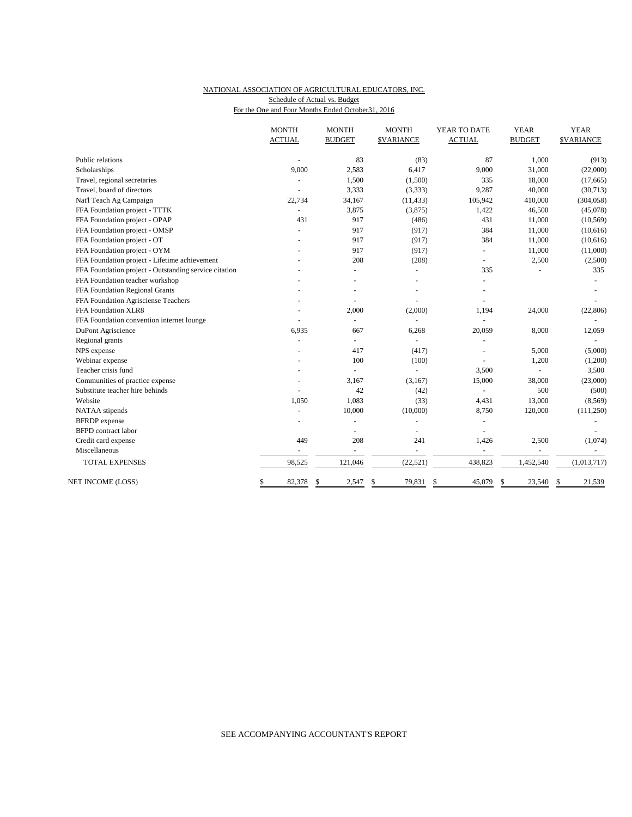## NATIONAL ASSOCIATION OF AGRICULTURAL EDUCATORS, INC. Schedule of Actual vs. Budget

For the One and Four Months Ended October31, 2016

|                                                       | <b>MONTH</b><br><b>ACTUAL</b> | <b>MONTH</b><br><b>BUDGET</b> | <b>MONTH</b><br><b>\$VARIANCE</b> | YEAR TO DATE<br><b>ACTUAL</b> | <b>YEAR</b><br><b>BUDGET</b> | <b>YEAR</b><br><b>\$VARIANCE</b> |
|-------------------------------------------------------|-------------------------------|-------------------------------|-----------------------------------|-------------------------------|------------------------------|----------------------------------|
| Public relations                                      |                               | 83                            | (83)                              | 87                            | 1,000                        | (913)                            |
| Scholarships                                          | 9,000                         | 2,583                         | 6,417                             | 9,000                         | 31,000                       | (22,000)                         |
| Travel, regional secretaries                          |                               | 1,500                         | (1,500)                           | 335                           | 18,000                       | (17,665)                         |
| Travel, board of directors                            |                               | 3,333                         | (3,333)                           | 9,287                         | 40,000                       | (30,713)                         |
| Nat'l Teach Ag Campaign                               | 22,734                        | 34,167                        | (11, 433)                         | 105,942                       | 410,000                      | (304, 058)                       |
| FFA Foundation project - TTTK                         | $\overline{\phantom{a}}$      | 3,875                         | (3,875)                           | 1,422                         | 46,500                       | (45,078)                         |
| FFA Foundation project - OPAP                         | 431                           | 917                           | (486)                             | 431                           | 11,000                       | (10, 569)                        |
| FFA Foundation project - OMSP                         |                               | 917                           | (917)                             | 384                           | 11,000                       | (10,616)                         |
| FFA Foundation project - OT                           |                               | 917                           | (917)                             | 384                           | 11,000                       | (10,616)                         |
| FFA Foundation project - OYM                          |                               | 917                           | (917)                             | $\blacksquare$                | 11,000                       | (11,000)                         |
| FFA Foundation project - Lifetime achievement         |                               | 208                           | (208)                             | ÷,                            | 2,500                        | (2,500)                          |
| FFA Foundation project - Outstanding service citation |                               |                               |                                   | 335                           |                              | 335                              |
| FFA Foundation teacher workshop                       |                               |                               |                                   |                               |                              |                                  |
| FFA Foundation Regional Grants                        |                               |                               |                                   |                               |                              |                                  |
| FFA Foundation Agrisciense Teachers                   |                               |                               |                                   |                               |                              |                                  |
| FFA Foundation XLR8                                   |                               | 2,000                         | (2,000)                           | 1,194                         | 24,000                       | (22, 806)                        |
| FFA Foundation convention internet lounge             |                               | $\overline{\phantom{a}}$      |                                   |                               |                              |                                  |
| DuPont Agriscience                                    | 6,935                         | 667                           | 6,268                             | 20,059                        | 8,000                        | 12,059                           |
| Regional grants                                       | $\overline{a}$                | $\omega$                      | ÷.                                | $\ddot{}$                     |                              |                                  |
| NPS expense                                           |                               | 417                           | (417)                             |                               | 5,000                        | (5,000)                          |
| Webinar expense                                       |                               | 100                           | (100)                             |                               | 1,200                        | (1,200)                          |
| Teacher crisis fund                                   |                               | L.                            | $\overline{a}$                    | 3,500                         |                              | 3,500                            |
| Communities of practice expense                       |                               | 3,167                         | (3,167)                           | 15,000                        | 38,000                       | (23,000)                         |
| Substitute teacher hire behinds                       |                               | 42                            | (42)                              |                               | 500                          | (500)                            |
| Website                                               | 1,050                         | 1,083                         | (33)                              | 4,431                         | 13,000                       | (8, 569)                         |
| NATAA stipends                                        |                               | 10,000                        | (10,000)                          | 8,750                         | 120,000                      | (111,250)                        |
| <b>BFRDP</b> expense                                  |                               |                               |                                   |                               |                              |                                  |
| <b>BFPD</b> contract labor                            |                               |                               |                                   |                               |                              |                                  |
| Credit card expense                                   | 449                           | 208                           | 241                               | 1,426                         | 2,500                        | (1,074)                          |
| Miscellaneous                                         |                               | $\overline{a}$                | ÷,                                | $\overline{\phantom{a}}$      |                              |                                  |
| <b>TOTAL EXPENSES</b>                                 | 98,525                        | 121,046                       | (22, 521)                         | 438,823                       | 1,452,540                    | (1,013,717)                      |
| NET INCOME (LOSS)                                     | 82,378<br>S                   | \$<br>2,547                   | \$<br>79,831                      | 45,079<br>\$                  | \$<br>23,540                 | \$<br>21,539                     |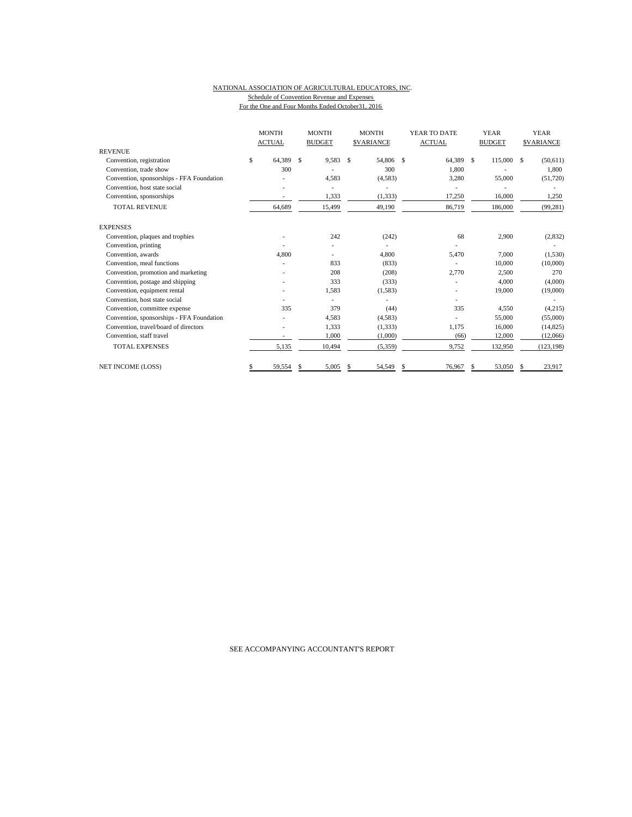#### NATIONAL ASSOCIATION OF AGRICULTURAL EDUCATORS, INC. Schedule of Convention Revenue and Expenses For the One and Four Months Ended October31, 2016

|                                           |    |        |    |        |    | <b>MONTH</b><br><b>ACTUAL</b> |               |        |               |         |    |            |  |  |  |  |  | <b>MONTH</b><br><b>BUDGET</b> |  | <b>MONTH</b><br><b>SVARIANCE</b> |  | YEAR TO DATE<br><b>ACTUAL</b> |  | <b>YEAR</b><br><b>BUDGET</b> |  | <b>YEAR</b><br><b>SVARIANCE</b> |
|-------------------------------------------|----|--------|----|--------|----|-------------------------------|---------------|--------|---------------|---------|----|------------|--|--|--|--|--|-------------------------------|--|----------------------------------|--|-------------------------------|--|------------------------------|--|---------------------------------|
| <b>REVENUE</b>                            |    |        |    |        |    |                               |               |        |               |         |    |            |  |  |  |  |  |                               |  |                                  |  |                               |  |                              |  |                                 |
| Convention, registration                  | \$ | 64.389 | \$ | 9,583  | S  | 54,806                        | $\mathcal{S}$ | 64,389 | <sup>\$</sup> | 115,000 | -S | (50, 611)  |  |  |  |  |  |                               |  |                                  |  |                               |  |                              |  |                                 |
| Convention, trade show                    |    | 300    |    |        |    | 300                           |               | 1.800  |               |         |    | 1.800      |  |  |  |  |  |                               |  |                                  |  |                               |  |                              |  |                                 |
| Convention, sponsorships - FFA Foundation |    |        |    | 4,583  |    | (4,583)                       |               | 3,280  |               | 55,000  |    | (51,720)   |  |  |  |  |  |                               |  |                                  |  |                               |  |                              |  |                                 |
| Convention, host state social             |    |        |    |        |    |                               |               |        |               |         |    |            |  |  |  |  |  |                               |  |                                  |  |                               |  |                              |  |                                 |
| Convention, sponsorships                  |    |        |    | 1,333  |    | (1, 333)                      |               | 17,250 |               | 16,000  |    | 1,250      |  |  |  |  |  |                               |  |                                  |  |                               |  |                              |  |                                 |
| <b>TOTAL REVENUE</b>                      |    | 64,689 |    | 15,499 |    | 49,190                        |               | 86,719 |               | 186,000 |    | (99, 281)  |  |  |  |  |  |                               |  |                                  |  |                               |  |                              |  |                                 |
| <b>EXPENSES</b>                           |    |        |    |        |    |                               |               |        |               |         |    |            |  |  |  |  |  |                               |  |                                  |  |                               |  |                              |  |                                 |
| Convention, plaques and trophies          |    |        |    | 242    |    | (242)                         |               | 68     |               | 2,900   |    | (2, 832)   |  |  |  |  |  |                               |  |                                  |  |                               |  |                              |  |                                 |
| Convention, printing                      |    |        |    |        |    |                               |               |        |               |         |    |            |  |  |  |  |  |                               |  |                                  |  |                               |  |                              |  |                                 |
| Convention, awards                        |    | 4.800  |    |        |    | 4,800                         |               | 5,470  |               | 7,000   |    | (1,530)    |  |  |  |  |  |                               |  |                                  |  |                               |  |                              |  |                                 |
| Convention, meal functions                |    |        |    | 833    |    | (833)                         |               |        |               | 10,000  |    | (10,000)   |  |  |  |  |  |                               |  |                                  |  |                               |  |                              |  |                                 |
| Convention, promotion and marketing       |    |        |    | 208    |    | (208)                         |               | 2,770  |               | 2,500   |    | 270        |  |  |  |  |  |                               |  |                                  |  |                               |  |                              |  |                                 |
| Convention, postage and shipping          |    |        |    | 333    |    | (333)                         |               |        |               | 4,000   |    | (4,000)    |  |  |  |  |  |                               |  |                                  |  |                               |  |                              |  |                                 |
| Convention, equipment rental              |    |        |    | 1,583  |    | (1,583)                       |               |        |               | 19,000  |    | (19,000)   |  |  |  |  |  |                               |  |                                  |  |                               |  |                              |  |                                 |
| Convention, host state social             |    |        |    |        |    |                               |               | ٠      |               |         |    |            |  |  |  |  |  |                               |  |                                  |  |                               |  |                              |  |                                 |
| Convention, committee expense             |    | 335    |    | 379    |    | (44)                          |               | 335    |               | 4.550   |    | (4,215)    |  |  |  |  |  |                               |  |                                  |  |                               |  |                              |  |                                 |
| Convention, sponsorships - FFA Foundation |    |        |    | 4,583  |    | (4,583)                       |               |        |               | 55,000  |    | (55,000)   |  |  |  |  |  |                               |  |                                  |  |                               |  |                              |  |                                 |
| Convention, travel/board of directors     |    |        |    | 1,333  |    | (1, 333)                      |               | 1,175  |               | 16,000  |    | (14, 825)  |  |  |  |  |  |                               |  |                                  |  |                               |  |                              |  |                                 |
| Convention, staff travel                  |    |        |    | 1,000  |    | (1,000)                       |               | (66)   |               | 12,000  |    | (12,066)   |  |  |  |  |  |                               |  |                                  |  |                               |  |                              |  |                                 |
| <b>TOTAL EXPENSES</b>                     |    | 5,135  |    | 10,494 |    | (5,359)                       |               | 9,752  |               | 132,950 |    | (123, 198) |  |  |  |  |  |                               |  |                                  |  |                               |  |                              |  |                                 |
| <b>NET INCOME (LOSS)</b>                  |    | 59,554 | S  | 5,005  | \$ | 54,549                        | S             | 76,967 | \$            | 53,050  | S  | 23,917     |  |  |  |  |  |                               |  |                                  |  |                               |  |                              |  |                                 |

### SEE ACCOMPANYING ACCOUNTANT'S REPORT